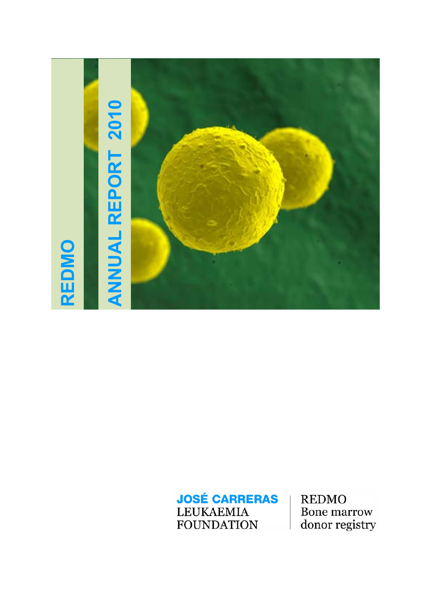

**REDMO** Bone marrow donor registry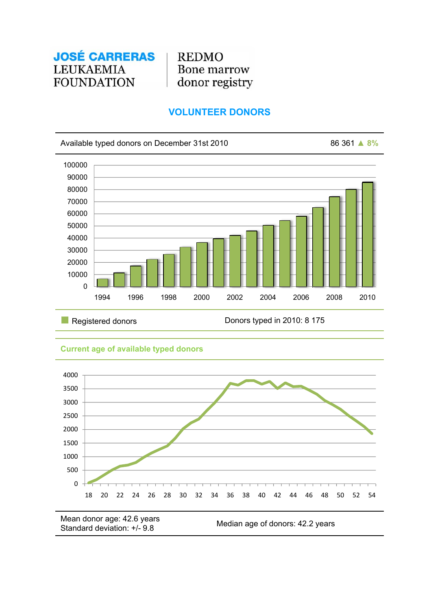**REDMO Bone marrow** donor registry

# **VOLUNTEER DONORS**



Registered donors **Donors IV** Donors typed in 2010: 8 175

## **Current age of available typed donors**



Mean donor age: 42.6 years Nieari donor age. 42.0 years<br>Standard deviation: +/- 9.8 Median age of donors: 42.2 years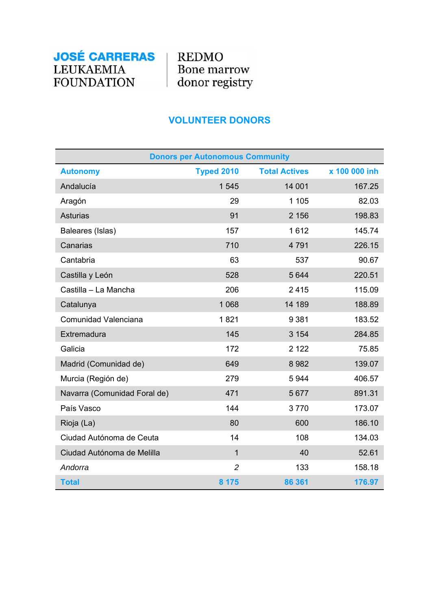**REDMO** Bone marrow donor registry

# **VOLUNTEER DONORS**

| <b>Donors per Autonomous Community</b> |                   |                      |               |
|----------------------------------------|-------------------|----------------------|---------------|
| <b>Autonomy</b>                        | <b>Typed 2010</b> | <b>Total Actives</b> | x 100 000 inh |
| Andalucía                              | 1545              | 14 001               | 167.25        |
| Aragón                                 | 29                | 1 1 0 5              | 82.03         |
| <b>Asturias</b>                        | 91                | 2 1 5 6              | 198.83        |
| Baleares (Islas)                       | 157               | 1612                 | 145.74        |
| Canarias                               | 710               | 4791                 | 226.15        |
| Cantabria                              | 63                | 537                  | 90.67         |
| Castilla y León                        | 528               | 5 6 4 4              | 220.51        |
| Castilla - La Mancha                   | 206               | 2415                 | 115.09        |
| Catalunya                              | 1 0 6 8           | 14 189               | 188.89        |
| Comunidad Valenciana                   | 1821              | 9 3 8 1              | 183.52        |
| Extremadura                            | 145               | 3 1 5 4              | 284.85        |
| Galicia                                | 172               | 2 1 2 2              | 75.85         |
| Madrid (Comunidad de)                  | 649               | 8982                 | 139.07        |
| Murcia (Región de)                     | 279               | 5944                 | 406.57        |
| Navarra (Comunidad Foral de)           | 471               | 5677                 | 891.31        |
| País Vasco                             | 144               | 3770                 | 173.07        |
| Rioja (La)                             | 80                | 600                  | 186.10        |
| Ciudad Autónoma de Ceuta               | 14                | 108                  | 134.03        |
| Ciudad Autónoma de Melilla             | $\overline{1}$    | 40                   | 52.61         |
| Andorra                                | $\overline{2}$    | 133                  | 158.18        |
| <b>Total</b>                           | 8 1 7 5           | 86 361               | 176.97        |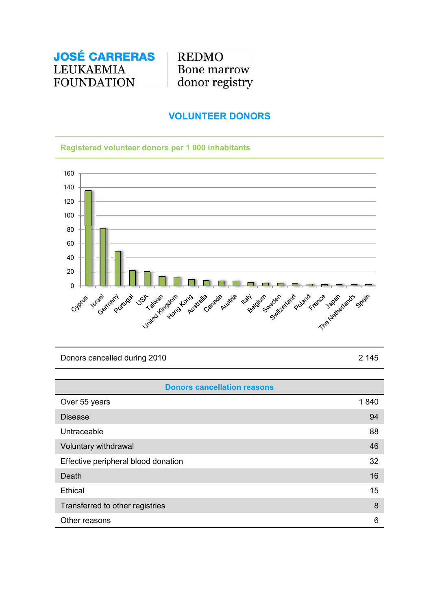**REDMO** Bone marrow donor registry

## **VOLUNTEER DONORS**

### **Registered volunteer donors per 1 000 inhabitants**



Donors cancelled during 2010 2 2 145

| <b>Donors cancellation reasons</b>  |      |
|-------------------------------------|------|
| Over 55 years                       | 1840 |
| <b>Disease</b>                      | 94   |
| Untraceable                         | 88   |
| Voluntary withdrawal                | 46   |
| Effective peripheral blood donation | 32   |
| Death                               | 16   |
| Ethical                             | 15   |
| Transferred to other registries     | 8    |
| Other reasons                       | 6    |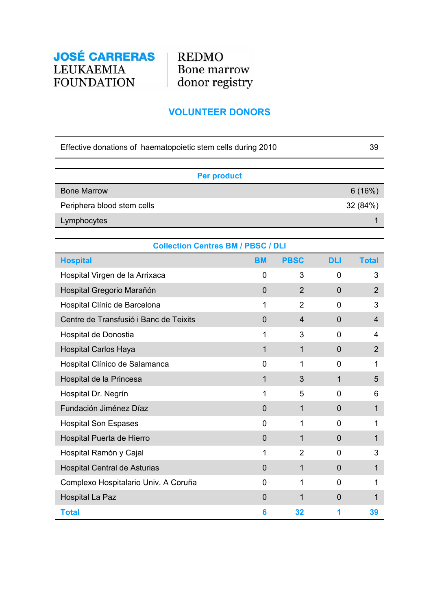

## **VOLUNTEER DONORS**

| Effective donations of haematopoietic stem cells during 2010 | 39       |
|--------------------------------------------------------------|----------|
|                                                              |          |
| <b>Per product</b>                                           |          |
| <b>Bone Marrow</b>                                           | 6(16%)   |
| Periphera blood stem cells                                   | 32 (84%) |
| Lymphocytes                                                  |          |
|                                                              |          |

| <b>Collection Centres BM / PBSC / DLI</b> |                |                |                |                |
|-------------------------------------------|----------------|----------------|----------------|----------------|
| <b>Hospital</b>                           | <b>BM</b>      | <b>PBSC</b>    | <b>DLI</b>     | <b>Total</b>   |
| Hospital Virgen de la Arrixaca            | $\Omega$       | 3              | 0              | 3              |
| Hospital Gregorio Marañón                 | $\Omega$       | $\overline{2}$ | 0              | 2              |
| Hospital Clínic de Barcelona              | 1              | $\overline{2}$ | 0              | 3              |
| Centre de Transfusió i Banc de Teixits    | $\overline{0}$ | 4              | 0              | 4              |
| Hospital de Donostia                      | 1              | 3              | 0              | 4              |
| <b>Hospital Carlos Haya</b>               | $\mathbf{1}$   | 1              | 0              | $\overline{2}$ |
| Hospital Clínico de Salamanca             | 0              | 1              | 0              | 1              |
| Hospital de la Princesa                   | 1              | 3              | 1              | 5              |
| Hospital Dr. Negrín                       | 1              | 5              | 0              | 6              |
| Fundación Jiménez Díaz                    | $\mathbf 0$    | 1              | 0              | 1              |
| <b>Hospital Son Espases</b>               | 0              | 1              | 0              | 1              |
| Hospital Puerta de Hierro                 | $\overline{0}$ | 1              | $\overline{0}$ | 1              |
| Hospital Ramón y Cajal                    | 1              | $\overline{2}$ | 0              | 3              |
| <b>Hospital Central de Asturias</b>       | $\overline{0}$ | 1              | $\overline{0}$ | 1              |
| Complexo Hospitalario Univ. A Coruña      | 0              | 1              | 0              | 1              |
| <b>Hospital La Paz</b>                    | 0              | 1              | 0              | 1              |
| <b>Total</b>                              | 6              | 32             | 1              | 39             |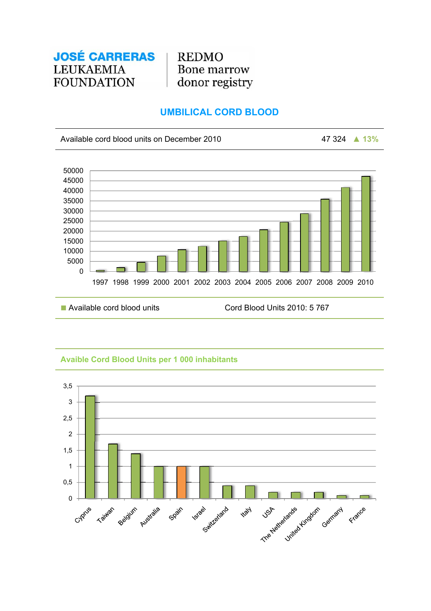**REDMO** Bone marrow donor registry

# **UMBILICAL CORD BLOOD**

Available cord blood units on December 2010 47 324 **▲ 13%**



### **Avaible Cord Blood Units per 1 000 inhabitants**

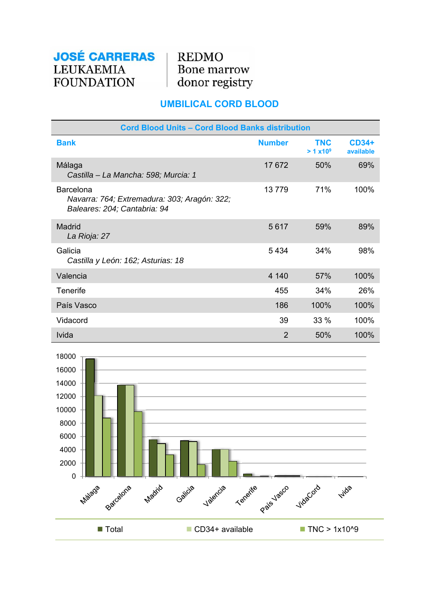**REDMO** Bone marrow donor registry

# **UMBILICAL CORD BLOOD**

| <b>Cord Blood Units - Cord Blood Banks distribution</b>                                          |                |                                    |                           |
|--------------------------------------------------------------------------------------------------|----------------|------------------------------------|---------------------------|
| <b>Bank</b>                                                                                      | <b>Number</b>  | <b>TNC</b><br>> 1 x10 <sup>9</sup> | <b>CD34+</b><br>available |
| Málaga<br>Castilla - La Mancha: 598; Murcia: 1                                                   | 17672          | 50%                                | 69%                       |
| <b>Barcelona</b><br>Navarra: 764; Extremadura: 303; Aragón: 322;<br>Baleares: 204; Cantabria: 94 | 13779          | 71%                                | 100%                      |
| Madrid<br>La Rioja: 27                                                                           | 5617           | 59%                                | 89%                       |
| Galicia<br>Castilla y León: 162; Asturias: 18                                                    | 5434           | 34%                                | 98%                       |
| Valencia                                                                                         | 4 140          | 57%                                | 100%                      |
| Tenerife                                                                                         | 455            | 34%                                | 26%                       |
| País Vasco                                                                                       | 186            | 100%                               | 100%                      |
| Vidacord                                                                                         | 39             | $33\%$                             | 100%                      |
| <b>Ivida</b>                                                                                     | $\overline{2}$ | 50%                                | 100%                      |

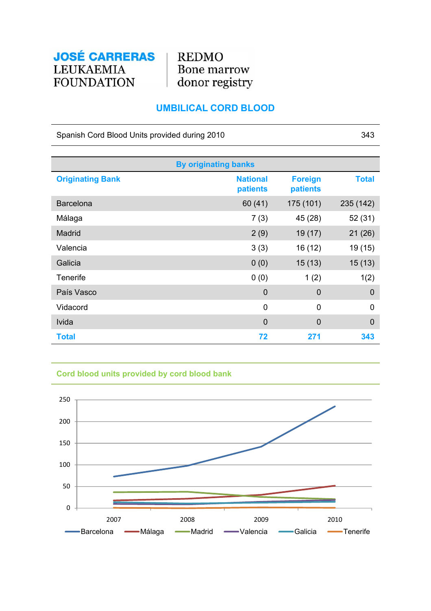**REDMO** Bone marrow donor registry

# **UMBILICAL CORD BLOOD**

Spanish Cord Blood Units provided during 2010 343

| <b>By originating banks</b> |                             |                            |                |
|-----------------------------|-----------------------------|----------------------------|----------------|
| <b>Originating Bank</b>     | <b>National</b><br>patients | <b>Foreign</b><br>patients | <b>Total</b>   |
| <b>Barcelona</b>            | 60(41)                      | 175 (101)                  | 235 (142)      |
| Málaga                      | 7(3)                        | 45 (28)                    | 52(31)         |
| <b>Madrid</b>               | 2(9)                        | 19(17)                     | 21(26)         |
| Valencia                    | 3(3)                        | 16 (12)                    | 19 (15)        |
| Galicia                     | 0(0)                        | 15(13)                     | 15(13)         |
| <b>Tenerife</b>             | 0(0)                        | 1(2)                       | 1(2)           |
| País Vasco                  | $\mathbf 0$                 | $\overline{0}$             | $\mathbf 0$    |
| Vidacord                    | 0                           | $\overline{0}$             | $\mathbf 0$    |
| Ivida                       | $\overline{0}$              | $\overline{0}$             | $\overline{0}$ |
| <b>Total</b>                | 72                          | 271                        | 343            |

## **Cord blood units provided by cord blood bank**

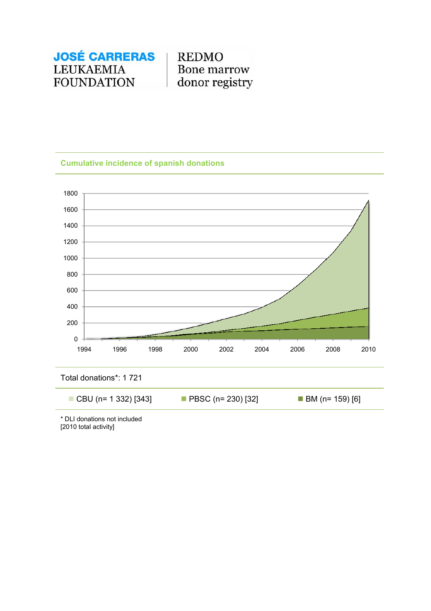**REDMO** Bone marrow donor registry

### **Cumulative incidence of spanish donations**



\* DLI donations not included [2010 total activity]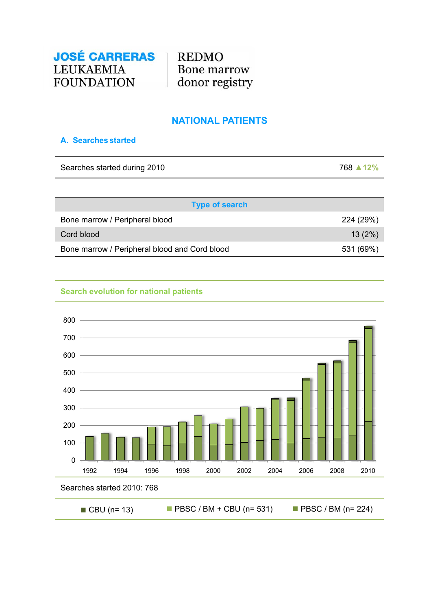

## **NATIONAL PATIENTS**

### **A. Searches started**

Searches started during 2010 768 **▲12%**

| <b>Type of search</b>                         |           |
|-----------------------------------------------|-----------|
| Bone marrow / Peripheral blood                | 224 (29%) |
| Cord blood                                    | 13(2%)    |
| Bone marrow / Peripheral blood and Cord blood | 531 (69%) |

### **Search evolution for national patients**



■ CBU (n= 13) PBSC / BM + CBU (n= 531) PBSC / BM (n= 224)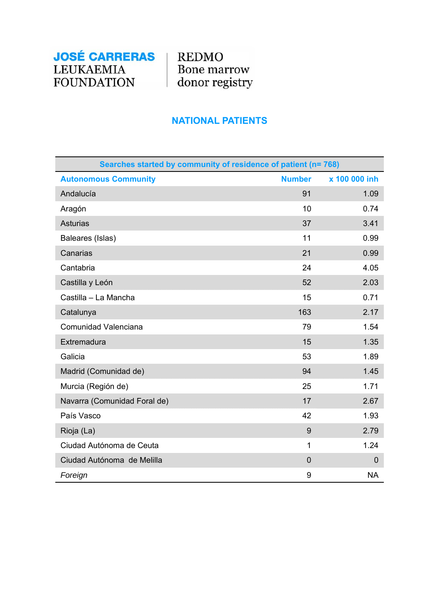**REDMO** Bone marrow donor registry

# **NATIONAL PATIENTS**

| Searches started by community of residence of patient (n= 768) |               |               |
|----------------------------------------------------------------|---------------|---------------|
| <b>Autonomous Community</b>                                    | <b>Number</b> | x 100 000 inh |
| Andalucía                                                      | 91            | 1.09          |
| Aragón                                                         | 10            | 0.74          |
| <b>Asturias</b>                                                | 37            | 3.41          |
| Baleares (Islas)                                               | 11            | 0.99          |
| Canarias                                                       | 21            | 0.99          |
| Cantabria                                                      | 24            | 4.05          |
| Castilla y León                                                | 52            | 2.03          |
| Castilla - La Mancha                                           | 15            | 0.71          |
| Catalunya                                                      | 163           | 2.17          |
| Comunidad Valenciana                                           | 79            | 1.54          |
| Extremadura                                                    | 15            | 1.35          |
| Galicia                                                        | 53            | 1.89          |
| Madrid (Comunidad de)                                          | 94            | 1.45          |
| Murcia (Región de)                                             | 25            | 1.71          |
| Navarra (Comunidad Foral de)                                   | 17            | 2.67          |
| País Vasco                                                     | 42            | 1.93          |
| Rioja (La)                                                     | 9             | 2.79          |
| Ciudad Autónoma de Ceuta                                       | 1             | 1.24          |
| Ciudad Autónoma de Melilla                                     | $\mathbf 0$   | $\mathbf 0$   |
| Foreign                                                        | 9             | <b>NA</b>     |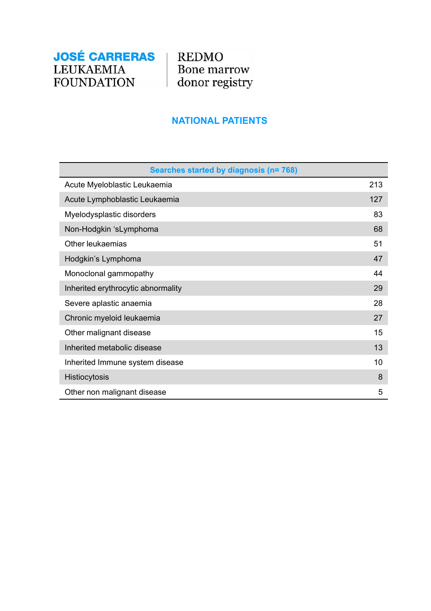

# **NATIONAL PATIENTS**

| Searches started by diagnosis (n= 768) |     |
|----------------------------------------|-----|
| Acute Myeloblastic Leukaemia           | 213 |
| Acute Lymphoblastic Leukaemia          | 127 |
| Myelodysplastic disorders              | 83  |
| Non-Hodgkin 'sLymphoma                 | 68  |
| Other leukaemias                       | 51  |
| Hodgkin's Lymphoma                     | 47  |
| Monoclonal gammopathy                  | 44  |
| Inherited erythrocytic abnormality     | 29  |
| Severe aplastic anaemia                | 28  |
| Chronic myeloid leukaemia              | 27  |
| Other malignant disease                | 15  |
| Inherited metabolic disease            | 13  |
| Inherited Immune system disease        | 10  |
| Histiocytosis                          | 8   |
| Other non malignant disease            | 5   |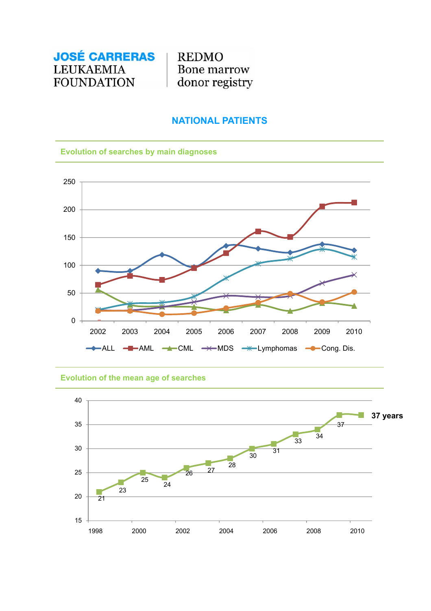**REDMO** Bone marrow donor registry

## **NATIONAL PATIENTS**

### **Evolution of searches by main diagnoses**



#### **Evolution of the mean age of searches**

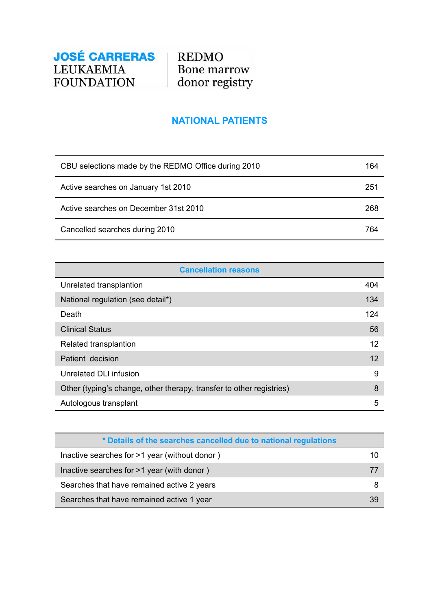

# **NATIONAL PATIENTS**

| CBU selections made by the REDMO Office during 2010 | 164 |
|-----------------------------------------------------|-----|
| Active searches on January 1st 2010                 | 251 |
| Active searches on December 31st 2010               | 268 |
| Cancelled searches during 2010                      | 764 |

| <b>Cancellation reasons</b>                                          |     |
|----------------------------------------------------------------------|-----|
| Unrelated transplantion                                              | 404 |
| National regulation (see detail*)                                    | 134 |
| Death                                                                | 124 |
| <b>Clinical Status</b>                                               | 56  |
| Related transplantion                                                | 12  |
| Patient decision                                                     | 12  |
| Unrelated DLI infusion                                               | 9   |
| Other (typing's change, other therapy, transfer to other registries) | 8   |
| Autologous transplant                                                | 5   |

| * Details of the searches cancelled due to national regulations |    |
|-----------------------------------------------------------------|----|
| Inactive searches for >1 year (without donor)                   | 10 |
| Inactive searches for >1 year (with donor)                      | 77 |
| Searches that have remained active 2 years                      |    |
| Searches that have remained active 1 year                       | 39 |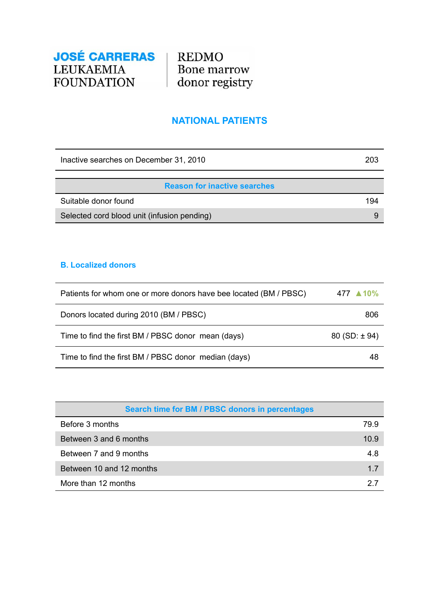**REDMO** Bone marrow donor registry

## **NATIONAL PATIENTS**

Inactive searches on December 31, 2010 203

| <b>Reason for inactive searches</b>         |     |
|---------------------------------------------|-----|
| Suitable donor found                        | 194 |
| Selected cord blood unit (infusion pending) |     |

#### **B. Localized donors**

| Patients for whom one or more donors have bee located (BM / PBSC) | 477 ▲10%         |
|-------------------------------------------------------------------|------------------|
| Donors located during 2010 (BM / PBSC)                            | 806              |
| Time to find the first BM / PBSC donor mean (days)                | $80(SD: \pm 94)$ |
| Time to find the first BM / PBSC donor median (days)              | 48               |

| Search time for BM / PBSC donors in percentages |      |
|-------------------------------------------------|------|
| Before 3 months                                 | 79.9 |
| Between 3 and 6 months                          | 10.9 |
| Between 7 and 9 months                          | 4.8  |
| Between 10 and 12 months                        | 1.7  |
| More than 12 months                             | 27   |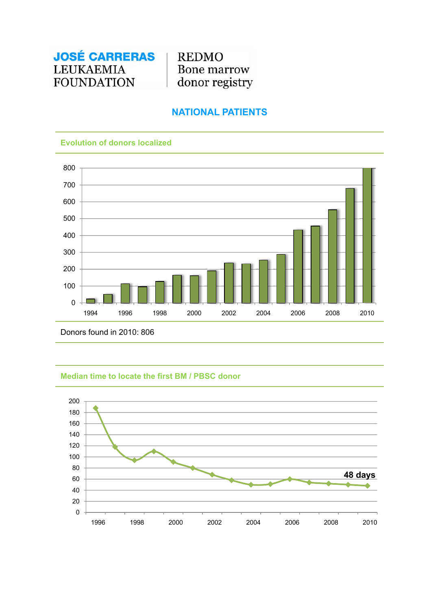

## **NATIONAL PATIENTS**

#### **Evolution of donors localized**



Donors found in 2010: 806

#### **Median time to locate the first BM / PBSC donor**

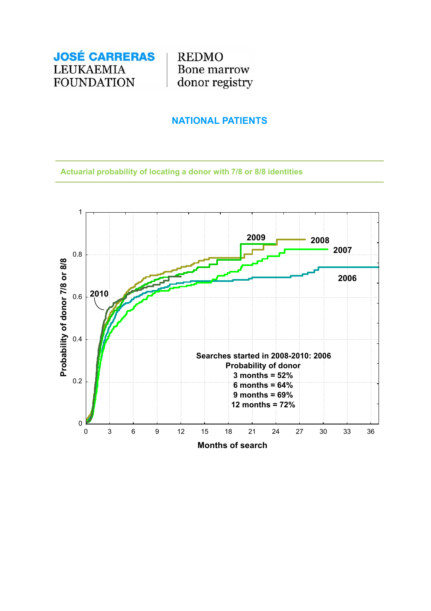

## **NATIONAL PATIENTS**

**Actuarial probability of locating a donor with 7/8 or 8/8 identities**

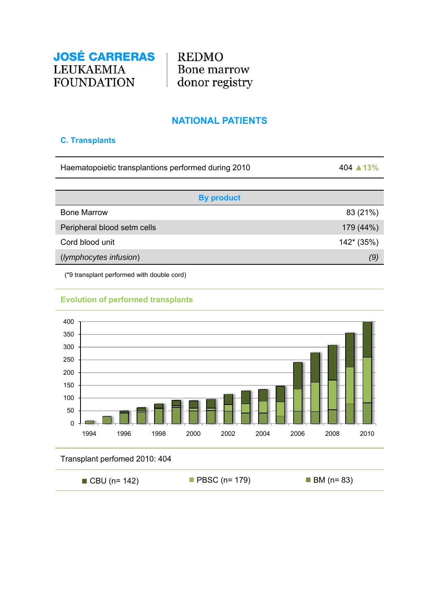

## **NATIONAL PATIENTS**

### **C. Transplants**

| Haematopoietic transplantions performed during 2010 | 404 ▲ 13% |
|-----------------------------------------------------|-----------|
|                                                     |           |

| <b>By product</b>           |             |
|-----------------------------|-------------|
| <b>Bone Marrow</b>          | 83 (21%)    |
| Peripheral blood setm cells | 179 (44%)   |
| Cord blood unit             | $142*(35%)$ |
| (lymphocytes infusion)      | (9)         |

(\*9 transplant performed with double cord)



### **Evolution of performed transplants**

### Transplant perfomed 2010: 404

| $\blacksquare$ CBU (n= 142) | $\blacksquare$ PBSC (n= 179) | $\blacksquare$ BM (n= 83) |
|-----------------------------|------------------------------|---------------------------|
|                             |                              |                           |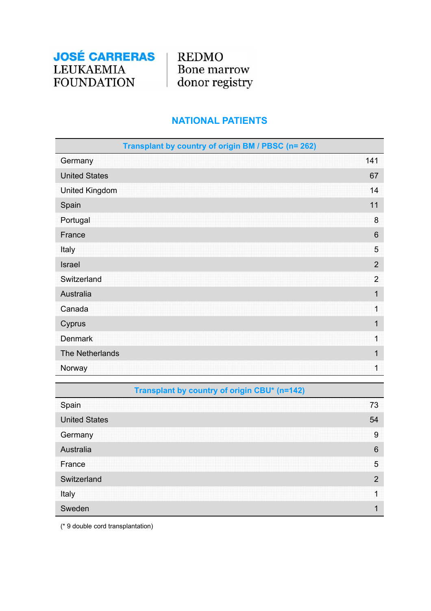**REDMO** Bone marrow donor registry

# **NATIONAL PATIENTS**

| Transplant by country of origin BM / PBSC (n= 262) |                |
|----------------------------------------------------|----------------|
| Germany                                            | 141            |
| <b>United States</b>                               | 67             |
| <b>United Kingdom</b>                              | 14             |
| Spain                                              | 11             |
| Portugal                                           | $\bf 8$        |
| France                                             | 6              |
| Italy                                              | 5              |
| <b>Israel</b>                                      | $\overline{2}$ |
| Switzerland                                        | $\overline{2}$ |
| Australia                                          | 1              |
| Canada                                             | $\overline{1}$ |
| Cyprus                                             | 1              |
| <b>Denmark</b>                                     | 1              |
| The Netherlands                                    | $\mathbf 1$    |
| Norway                                             | 1              |

| Transplant by country of origin CBU* (n=142) |    |
|----------------------------------------------|----|
| Spain                                        | 73 |
| <b>United States</b>                         | 54 |
| Germany                                      | 9  |
| Australia                                    | 6  |
| France                                       | 5  |
| Switzerland                                  | 2  |
| Italy                                        |    |
| Sweden                                       |    |

(\* 9 double cord transplantation)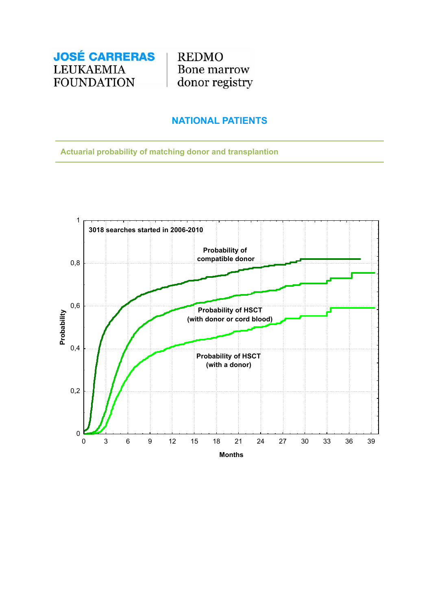

## **NATIONAL PATIENTS**

**Actuarial probability of matching donor and transplantion**

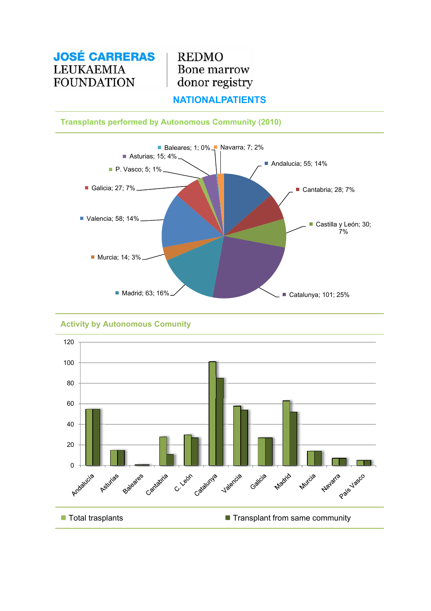**REDMO** Bone marrow donor registry

## **NATIONALPATIENTS**

### **Transplants performed by Autonomous Community (2010)**



### **Activity by Autonomous Comunity**

![](_page_20_Figure_6.jpeg)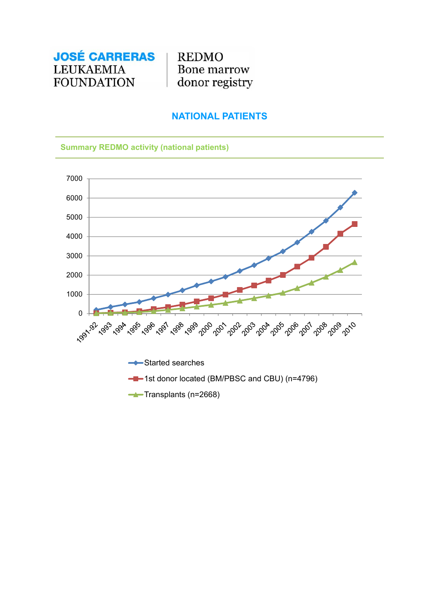**REDMO Bone marrow** donor registry

## **NATIONAL PATIENTS**

#### **Summary REDMO activity (national patients)**

![](_page_21_Figure_4.jpeg)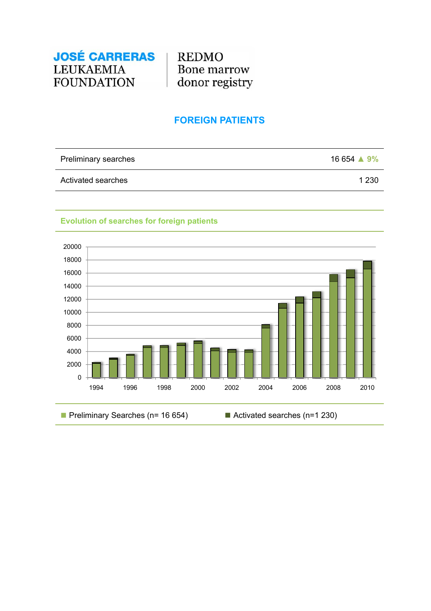![](_page_22_Picture_0.jpeg)

## **FOREIGN PATIENTS**

| Preliminary searches | $16654 \triangle 9\%$ |
|----------------------|-----------------------|
| Activated searches   | 1 2 3 0               |

# **Evolution of searches for foreign patients**

![](_page_22_Figure_5.jpeg)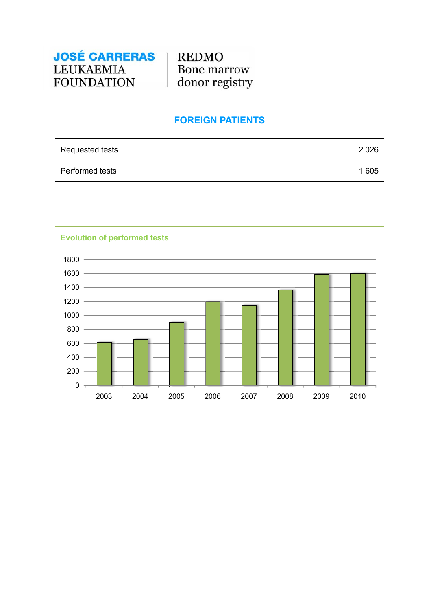![](_page_23_Picture_0.jpeg)

## **FOREIGN PATIENTS**

| Requested tests | 2026 |
|-----------------|------|
| Performed tests | 1605 |

**Evolution of performed tests**

![](_page_23_Figure_5.jpeg)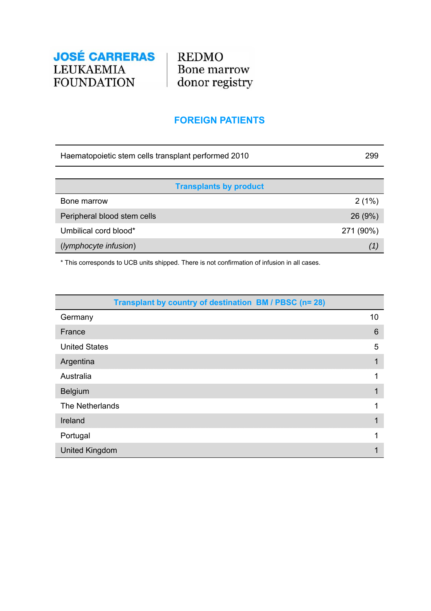**REDMO** Bone marrow<br>donor registry

## **FOREIGN PATIENTS**

| Haematopoietic stem cells transplant performed 2010 | 299       |
|-----------------------------------------------------|-----------|
|                                                     |           |
| <b>Transplants by product</b>                       |           |
| Bone marrow                                         | 2(1%)     |
| Peripheral blood stem cells                         | 26(9%)    |
| Umbilical cord blood*                               | 271 (90%) |
| (lymphocyte infusion)                               | (1)       |

\* This corresponds to UCB units shipped. There is not confirmation of infusion in all cases.

| Transplant by country of destination BM / PBSC (n= 28) |                 |
|--------------------------------------------------------|-----------------|
| Germany                                                | 10              |
| France                                                 | $6\phantom{1}6$ |
| <b>United States</b>                                   | 5               |
| Argentina                                              |                 |
| Australia                                              |                 |
| Belgium                                                |                 |
| The Netherlands                                        |                 |
| Ireland                                                |                 |
| Portugal                                               |                 |
| <b>United Kingdom</b>                                  |                 |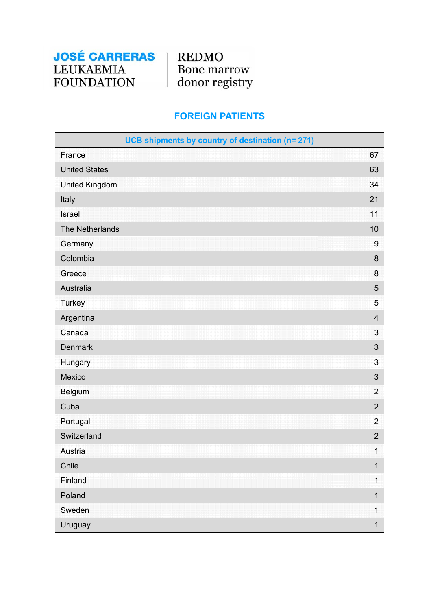**REDMO** Bone marrow donor registry

## **FOREIGN PATIENTS**

| UCB shipments by country of destination (n= 271) |                         |
|--------------------------------------------------|-------------------------|
| France                                           | 67                      |
| <b>United States</b>                             | 63                      |
| <b>United Kingdom</b>                            | 34                      |
| Italy                                            | 21                      |
| Israel                                           | 11                      |
| The Netherlands                                  | 10                      |
| Germany                                          | $\boldsymbol{9}$        |
| Colombia                                         | 8                       |
| Greece                                           | 8                       |
| Australia                                        | 5                       |
| <b>Turkey</b>                                    | 5                       |
| Argentina                                        | $\overline{\mathbf{4}}$ |
| Canada                                           | 3                       |
| <b>Denmark</b>                                   | $\sqrt{3}$              |
| Hungary                                          | 3                       |
| Mexico                                           | $\sqrt{3}$              |
| Belgium                                          | $\overline{2}$          |
| Cuba                                             | $\overline{2}$          |
| Portugal                                         | $\overline{2}$          |
| Switzerland                                      | $\overline{2}$          |
| Austria                                          | $\mathbf 1$             |
| Chile                                            | $\mathbf 1$             |
| Finland                                          | $\mathbf 1$             |
| Poland                                           | $\mathbf 1$             |
| Sweden                                           | $\mathbf 1$             |
| Uruguay                                          | $\mathbf 1$             |